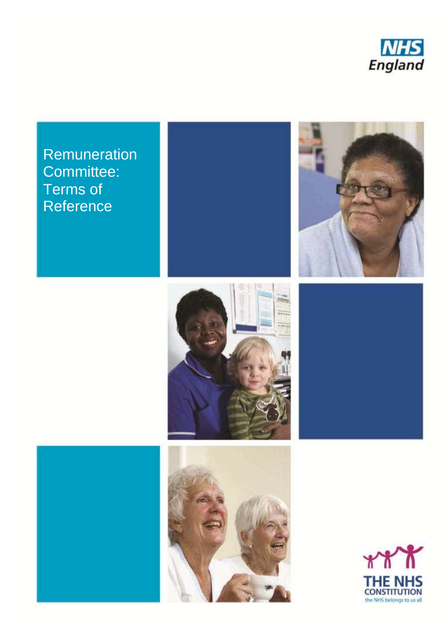

**Remuneration** Committee: Terms of **Reference** 





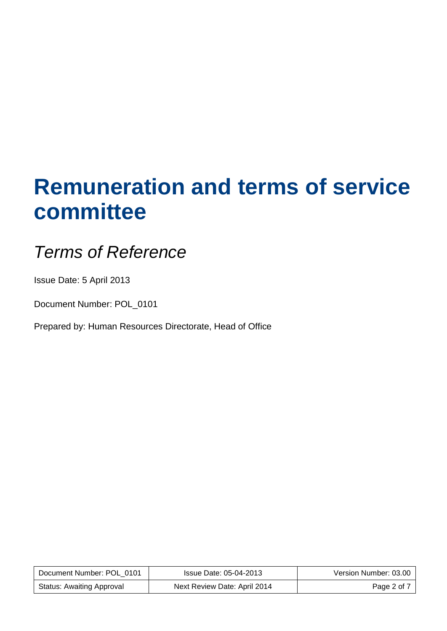# **Remuneration and terms of service committee**

# *Terms of Reference*

Issue Date: 5 April 2013

Document Number: POL\_0101

Prepared by: Human Resources Directorate, Head of Office

| Document Number: POL 0101 | Issue Date: 05-04-2013       | Version Number: 03.00 |
|---------------------------|------------------------------|-----------------------|
| Status: Awaiting Approval | Next Review Date: April 2014 | Page 2 of 7           |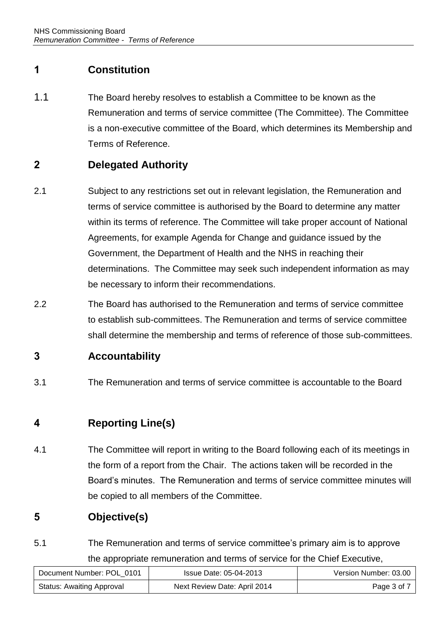# **1 Constitution**

1.1 The Board hereby resolves to establish a Committee to be known as the Remuneration and terms of service committee (The Committee). The Committee is a non-executive committee of the Board, which determines its Membership and Terms of Reference.

## **2 Delegated Authority**

- 2.1 Subject to any restrictions set out in relevant legislation, the Remuneration and terms of service committee is authorised by the Board to determine any matter within its terms of reference. The Committee will take proper account of National Agreements, for example Agenda for Change and guidance issued by the Government, the Department of Health and the NHS in reaching their determinations. The Committee may seek such independent information as may be necessary to inform their recommendations.
- 2.2 The Board has authorised to the Remuneration and terms of service committee to establish sub-committees. The Remuneration and terms of service committee shall determine the membership and terms of reference of those sub-committees.

#### **3 Accountability**

3.1 The Remuneration and terms of service committee is accountable to the Board

# **4 Reporting Line(s)**

4.1 The Committee will report in writing to the Board following each of its meetings in the form of a report from the Chair. The actions taken will be recorded in the Board's minutes. The Remuneration and terms of service committee minutes will be copied to all members of the Committee.

# **5 Objective(s)**

5.1 The Remuneration and terms of service committee's primary aim is to approve the appropriate remuneration and terms of service for the Chief Executive,

| Document Number: POL 0101        | Issue Date: 05-04-2013       | Version Number: 03.00 |
|----------------------------------|------------------------------|-----------------------|
| <b>Status: Awaiting Approval</b> | Next Review Date: April 2014 | Page 3 of 7           |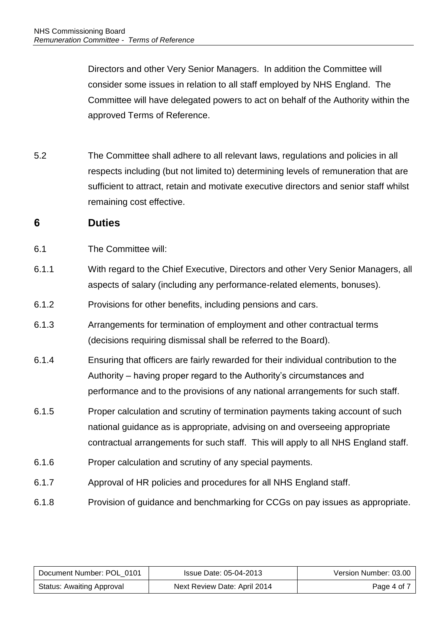Directors and other Very Senior Managers. In addition the Committee will consider some issues in relation to all staff employed by NHS England. The Committee will have delegated powers to act on behalf of the Authority within the approved Terms of Reference.

5.2 The Committee shall adhere to all relevant laws, regulations and policies in all respects including (but not limited to) determining levels of remuneration that are sufficient to attract, retain and motivate executive directors and senior staff whilst remaining cost effective.

#### **6 Duties**

- 6.1 The Committee will:
- 6.1.1 With regard to the Chief Executive, Directors and other Very Senior Managers, all aspects of salary (including any performance-related elements, bonuses).
- 6.1.2 Provisions for other benefits, including pensions and cars.
- 6.1.3 Arrangements for termination of employment and other contractual terms (decisions requiring dismissal shall be referred to the Board).
- 6.1.4 Ensuring that officers are fairly rewarded for their individual contribution to the Authority – having proper regard to the Authority's circumstances and performance and to the provisions of any national arrangements for such staff.
- 6.1.5 Proper calculation and scrutiny of termination payments taking account of such national guidance as is appropriate, advising on and overseeing appropriate contractual arrangements for such staff. This will apply to all NHS England staff.
- 6.1.6 Proper calculation and scrutiny of any special payments.
- 6.1.7 Approval of HR policies and procedures for all NHS England staff.
- 6.1.8 Provision of guidance and benchmarking for CCGs on pay issues as appropriate.

| Document Number: POL 0101        | Issue Date: 05-04-2013       | Version Number: 03.00 |
|----------------------------------|------------------------------|-----------------------|
| <b>Status: Awaiting Approval</b> | Next Review Date: April 2014 | Page 4 of 7           |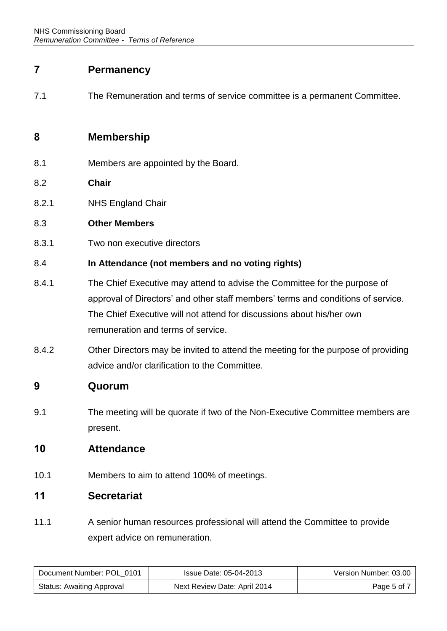#### **7 Permanency**

7.1 The Remuneration and terms of service committee is a permanent Committee.

#### **8 Membership**

- 8.1 Members are appointed by the Board.
- 8.2 **Chair**
- 8.2.1 NHS England Chair

#### 8.3 **Other Members**

8.3.1 Two non executive directors

#### 8.4 **In Attendance (not members and no voting rights)**

- 8.4.1 The Chief Executive may attend to advise the Committee for the purpose of approval of Directors' and other staff members' terms and conditions of service. The Chief Executive will not attend for discussions about his/her own remuneration and terms of service.
- 8.4.2 Other Directors may be invited to attend the meeting for the purpose of providing advice and/or clarification to the Committee.

#### **9 Quorum**

9.1 The meeting will be quorate if two of the Non-Executive Committee members are present.

#### **10 Attendance**

10.1 Members to aim to attend 100% of meetings.

#### **11 Secretariat**

11.1 A senior human resources professional will attend the Committee to provide expert advice on remuneration.

| Document Number: POL 0101        | Issue Date: 05-04-2013       | Version Number: 03.00 |
|----------------------------------|------------------------------|-----------------------|
| <b>Status: Awaiting Approval</b> | Next Review Date: April 2014 | Page 5 of 7           |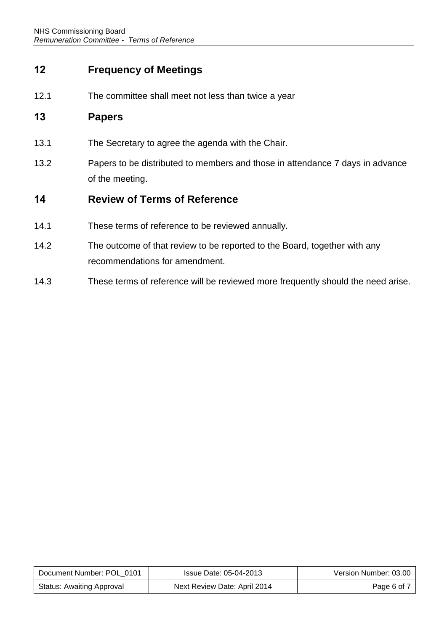### **12 Frequency of Meetings**

12.1 The committee shall meet not less than twice a year

#### **13 Papers**

- 13.1 The Secretary to agree the agenda with the Chair.
- 13.2 Papers to be distributed to members and those in attendance 7 days in advance of the meeting.

#### **14 Review of Terms of Reference**

- 14.1 These terms of reference to be reviewed annually.
- 14.2 The outcome of that review to be reported to the Board, together with any recommendations for amendment.
- 14.3 These terms of reference will be reviewed more frequently should the need arise.

| Document Number: POL 0101 | Issue Date: 05-04-2013       | Version Number: 03.00 |
|---------------------------|------------------------------|-----------------------|
| Status: Awaiting Approval | Next Review Date: April 2014 | Page 6 of 7           |